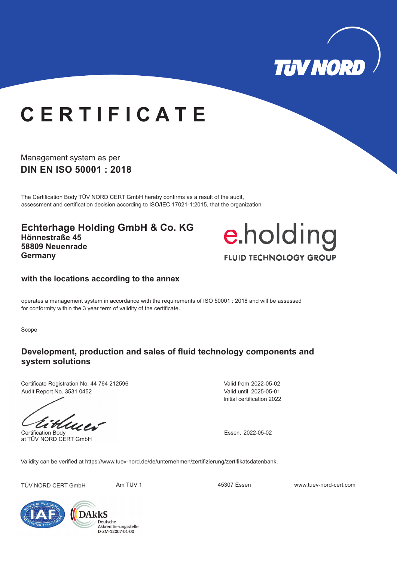

# **C E R T I F I C A T E**

Management system as per **DIN EN ISO 50001 : 2018**

The Certification Body TÜV NORD CERT GmbH hereby confirms as a result of the audit, assessment and certification decision according to ISO/IEC 17021-1:2015, that the organization

**Echterhage Holding GmbH & Co. KG Hönnestraße 45 58809 Neuenrade Germany**



#### **with the locations according to the annex**

operates a management system in accordance with the requirements of ISO 50001 : 2018 and will be assessed for conformity within the 3 year term of validity of the certificate.

Scope

### **Development, production and sales of fluid technology components and system solutions**

Certificate Registration No. 44 764 212596 Audit Report No. 3531 0452

at TÜV NORD CERT GmbH

Initial certification 2022 Valid from 2022-05-02 Valid until 2025-05-01

Certification Body Essen, 2022-05-02

Validity can be verified at https://www.tuev-nord.de/de/unternehmen/zertifizierung/zertifikatsdatenbank.

TÜV NORD CERT GmbH Am TÜV 1 45307 Essen www.tuev-nord-cert.com